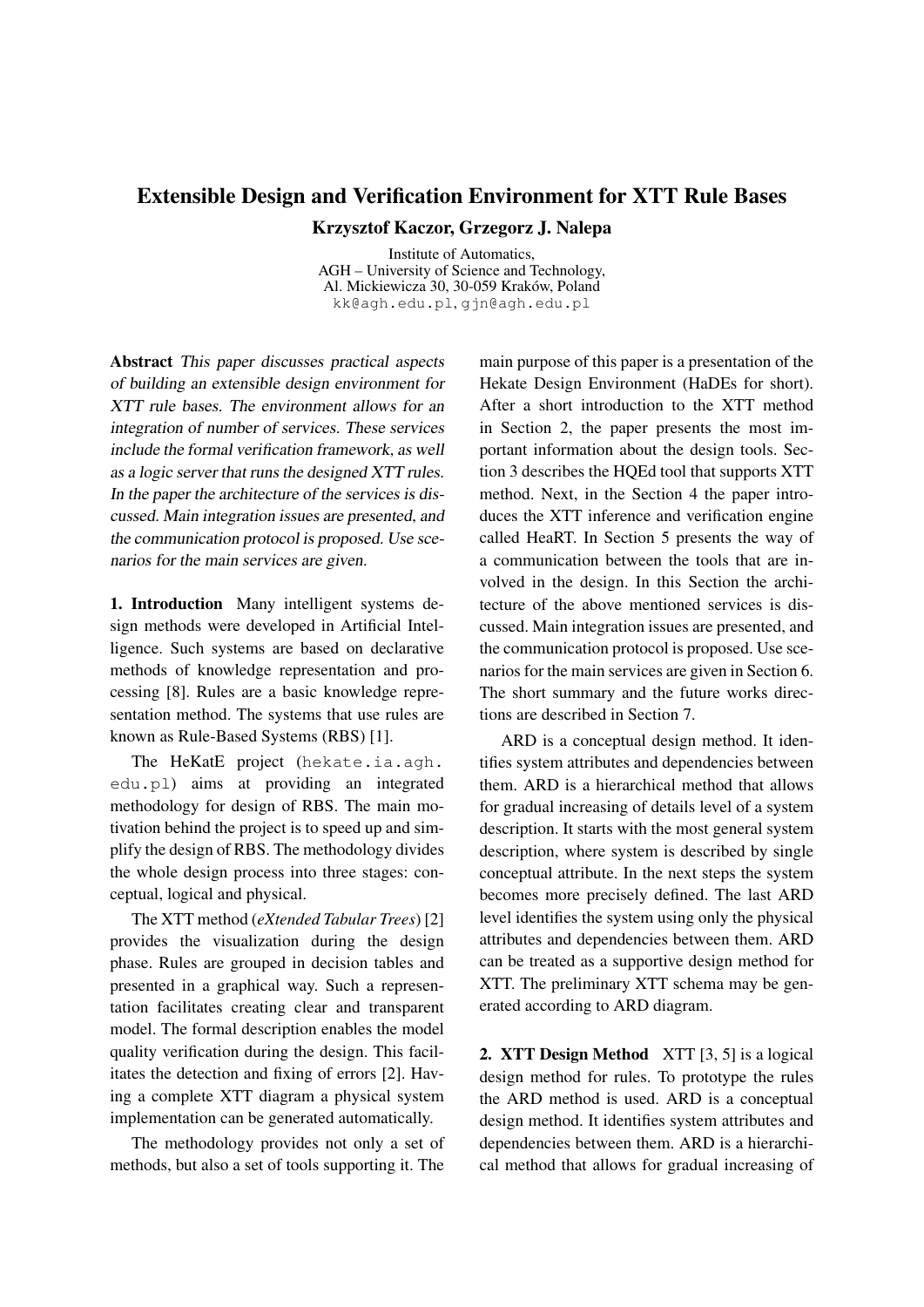## Extensible Design and Verification Environment for XTT Rule Bases Krzysztof Kaczor, Grzegorz J. Nalepa

Institute of Automatics, AGH – University of Science and Technology, Al. Mickiewicza 30, 30-059 Kraków, Poland kk@agh.edu.pl, gjn@agh.edu.pl

Abstract This paper discusses practical aspects of building an extensible design environment for XTT rule bases. The environment allows for an integration of number of services. These services include the formal verification framework, as well as a logic server that runs the designed XTT rules. In the paper the architecture of the services is discussed. Main integration issues are presented, and the communication protocol is proposed. Use scenarios for the main services are given.

1. Introduction Many intelligent systems design methods were developed in Artificial Intelligence. Such systems are based on declarative methods of knowledge representation and processing [8]. Rules are a basic knowledge representation method. The systems that use rules are known as Rule-Based Systems (RBS) [1].

The HeKatE project (hekate.ia.agh. edu.pl) aims at providing an integrated methodology for design of RBS. The main motivation behind the project is to speed up and simplify the design of RBS. The methodology divides the whole design process into three stages: conceptual, logical and physical.

The XTT method (*eXtended Tabular Trees*) [2] provides the visualization during the design phase. Rules are grouped in decision tables and presented in a graphical way. Such a representation facilitates creating clear and transparent model. The formal description enables the model quality verification during the design. This facilitates the detection and fixing of errors [2]. Having a complete XTT diagram a physical system implementation can be generated automatically.

The methodology provides not only a set of methods, but also a set of tools supporting it. The

main purpose of this paper is a presentation of the Hekate Design Environment (HaDEs for short). After a short introduction to the XTT method in Section 2, the paper presents the most important information about the design tools. Section 3 describes the HQEd tool that supports XTT method. Next, in the Section 4 the paper introduces the XTT inference and verification engine called HeaRT. In Section 5 presents the way of a communication between the tools that are involved in the design. In this Section the architecture of the above mentioned services is discussed. Main integration issues are presented, and the communication protocol is proposed. Use scenarios for the main services are given in Section 6. The short summary and the future works directions are described in Section 7.

ARD is a conceptual design method. It identifies system attributes and dependencies between them. ARD is a hierarchical method that allows for gradual increasing of details level of a system description. It starts with the most general system description, where system is described by single conceptual attribute. In the next steps the system becomes more precisely defined. The last ARD level identifies the system using only the physical attributes and dependencies between them. ARD can be treated as a supportive design method for XTT. The preliminary XTT schema may be generated according to ARD diagram.

2. XTT Design Method XTT [3, 5] is a logical design method for rules. To prototype the rules the ARD method is used. ARD is a conceptual design method. It identifies system attributes and dependencies between them. ARD is a hierarchical method that allows for gradual increasing of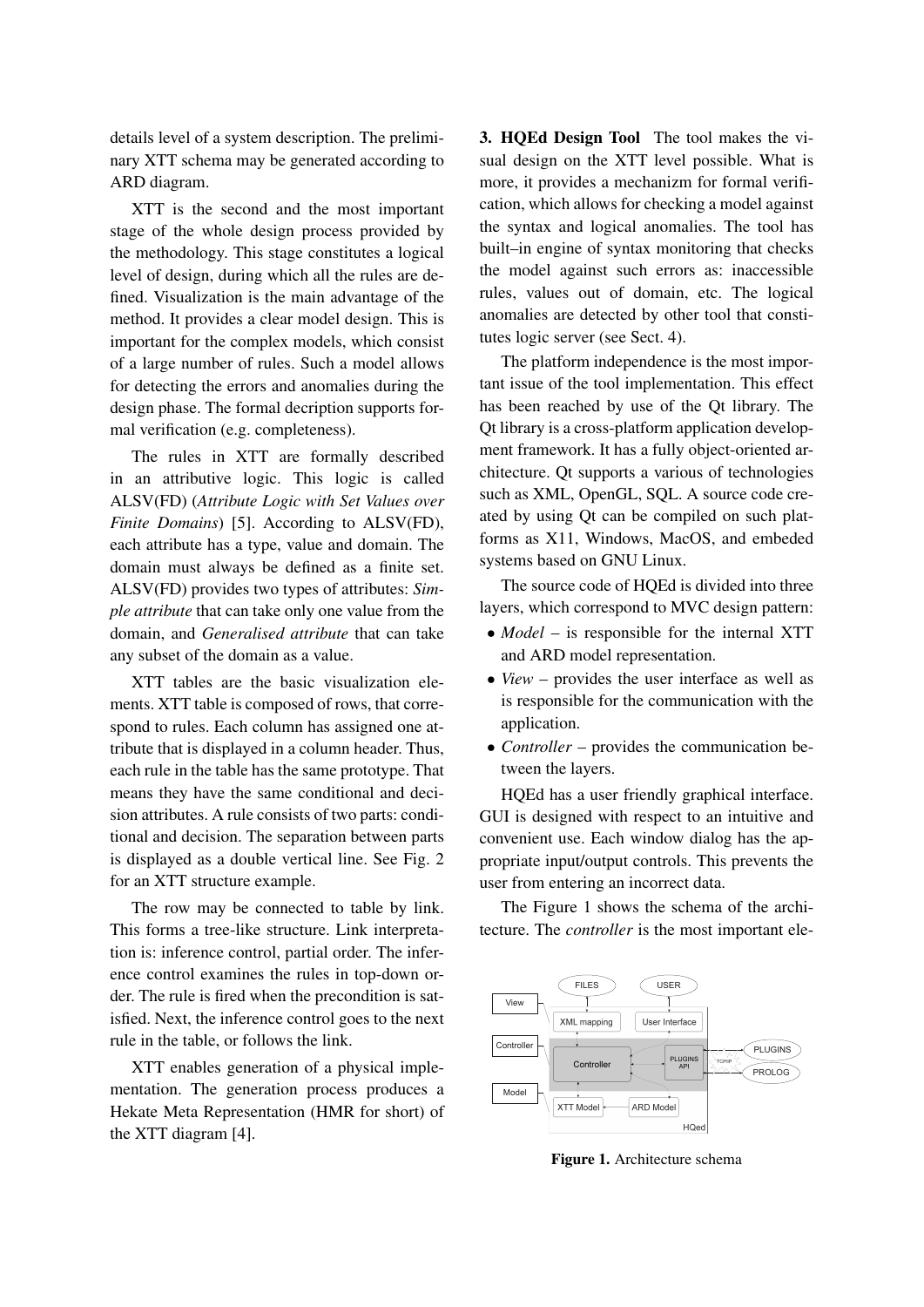details level of a system description. The preliminary XTT schema may be generated according to ARD diagram.

XTT is the second and the most important stage of the whole design process provided by the methodology. This stage constitutes a logical level of design, during which all the rules are defined. Visualization is the main advantage of the method. It provides a clear model design. This is important for the complex models, which consist of a large number of rules. Such a model allows for detecting the errors and anomalies during the design phase. The formal decription supports formal verification (e.g. completeness).

The rules in XTT are formally described in an attributive logic. This logic is called ALSV(FD) (*Attribute Logic with Set Values over Finite Domains*) [5]. According to ALSV(FD), each attribute has a type, value and domain. The domain must always be defined as a finite set. ALSV(FD) provides two types of attributes: *Simple attribute* that can take only one value from the domain, and *Generalised attribute* that can take any subset of the domain as a value.

XTT tables are the basic visualization elements. XTT table is composed of rows, that correspond to rules. Each column has assigned one attribute that is displayed in a column header. Thus, each rule in the table has the same prototype. That means they have the same conditional and decision attributes. A rule consists of two parts: conditional and decision. The separation between parts is displayed as a double vertical line. See Fig. 2 for an XTT structure example.

The row may be connected to table by link. This forms a tree-like structure. Link interpretation is: inference control, partial order. The inference control examines the rules in top-down order. The rule is fired when the precondition is satisfied. Next, the inference control goes to the next rule in the table, or follows the link.

XTT enables generation of a physical implementation. The generation process produces a Hekate Meta Representation (HMR for short) of the XTT diagram [4].

3. HQEd Design Tool The tool makes the visual design on the XTT level possible. What is more, it provides a mechanizm for formal verification, which allows for checking a model against the syntax and logical anomalies. The tool has built–in engine of syntax monitoring that checks the model against such errors as: inaccessible rules, values out of domain, etc. The logical anomalies are detected by other tool that constitutes logic server (see Sect. 4).

The platform independence is the most important issue of the tool implementation. This effect has been reached by use of the Qt library. The Qt library is a cross-platform application development framework. It has a fully object-oriented architecture. Qt supports a various of technologies such as XML, OpenGL, SQL. A source code created by using Qt can be compiled on such platforms as X11, Windows, MacOS, and embeded systems based on GNU Linux.

The source code of HQEd is divided into three layers, which correspond to MVC design pattern:

- *Model* is responsible for the internal XTT and ARD model representation.
- *View* provides the user interface as well as is responsible for the communication with the application.
- *Controller* provides the communication between the layers.

HQEd has a user friendly graphical interface. GUI is designed with respect to an intuitive and convenient use. Each window dialog has the appropriate input/output controls. This prevents the user from entering an incorrect data.

The Figure 1 shows the schema of the architecture. The *controller* is the most important ele-



Figure 1. Architecture schema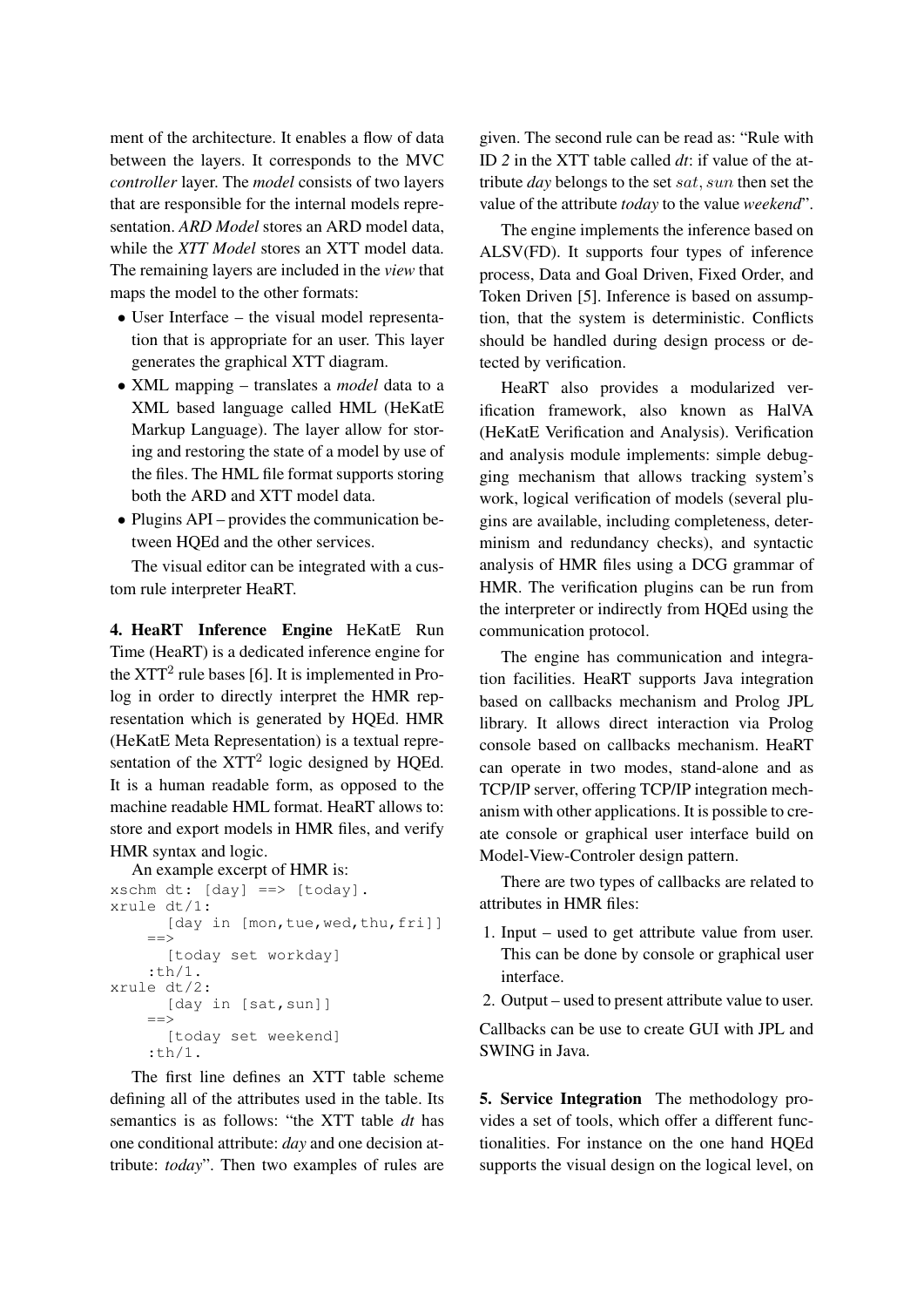ment of the architecture. It enables a flow of data between the layers. It corresponds to the MVC *controller* layer. The *model* consists of two layers that are responsible for the internal models representation. *ARD Model* stores an ARD model data, while the *XTT Model* stores an XTT model data. The remaining layers are included in the *view* that maps the model to the other formats:

- User Interface the visual model representation that is appropriate for an user. This layer generates the graphical XTT diagram.
- XML mapping translates a *model* data to a XML based language called HML (HeKatE Markup Language). The layer allow for storing and restoring the state of a model by use of the files. The HML file format supports storing both the ARD and XTT model data.
- Plugins API provides the communication between HQEd and the other services.

The visual editor can be integrated with a custom rule interpreter HeaRT.

4. HeaRT Inference Engine HeKatE Run Time (HeaRT) is a dedicated inference engine for the  $XTT<sup>2</sup>$  rule bases [6]. It is implemented in Prolog in order to directly interpret the HMR representation which is generated by HQEd. HMR (HeKatE Meta Representation) is a textual representation of the  $XTT<sup>2</sup>$  logic designed by HQEd. It is a human readable form, as opposed to the machine readable HML format. HeaRT allows to: store and export models in HMR files, and verify HMR syntax and logic.

An example excerpt of HMR is:

```
xschm dt: [day] ==> [today].
xrule dt/1:
      [day in [mon, tue, wed, thu, fri]]
    =[today set workday]
    :th/1.
xrule dt/2:
      [day in [sat, sun]]
    ==>
      [today set weekend]
    :th/1.
```
The first line defines an XTT table scheme defining all of the attributes used in the table. Its semantics is as follows: "the XTT table *dt* has one conditional attribute: *day* and one decision attribute: *today*". Then two examples of rules are

given. The second rule can be read as: "Rule with ID *2* in the XTT table called *dt*: if value of the attribute *day* belongs to the set sat, sun then set the value of the attribute *today* to the value *weekend*".

The engine implements the inference based on ALSV(FD). It supports four types of inference process, Data and Goal Driven, Fixed Order, and Token Driven [5]. Inference is based on assumption, that the system is deterministic. Conflicts should be handled during design process or detected by verification.

HeaRT also provides a modularized verification framework, also known as HalVA (HeKatE Verification and Analysis). Verification and analysis module implements: simple debugging mechanism that allows tracking system's work, logical verification of models (several plugins are available, including completeness, determinism and redundancy checks), and syntactic analysis of HMR files using a DCG grammar of HMR. The verification plugins can be run from the interpreter or indirectly from HQEd using the communication protocol.

The engine has communication and integration facilities. HeaRT supports Java integration based on callbacks mechanism and Prolog JPL library. It allows direct interaction via Prolog console based on callbacks mechanism. HeaRT can operate in two modes, stand-alone and as TCP/IP server, offering TCP/IP integration mechanism with other applications. It is possible to create console or graphical user interface build on Model-View-Controler design pattern.

There are two types of callbacks are related to attributes in HMR files:

- 1. Input used to get attribute value from user. This can be done by console or graphical user interface.
- 2. Output used to present attribute value to user.

Callbacks can be use to create GUI with JPL and SWING in Java.

5. Service Integration The methodology provides a set of tools, which offer a different functionalities. For instance on the one hand HQEd supports the visual design on the logical level, on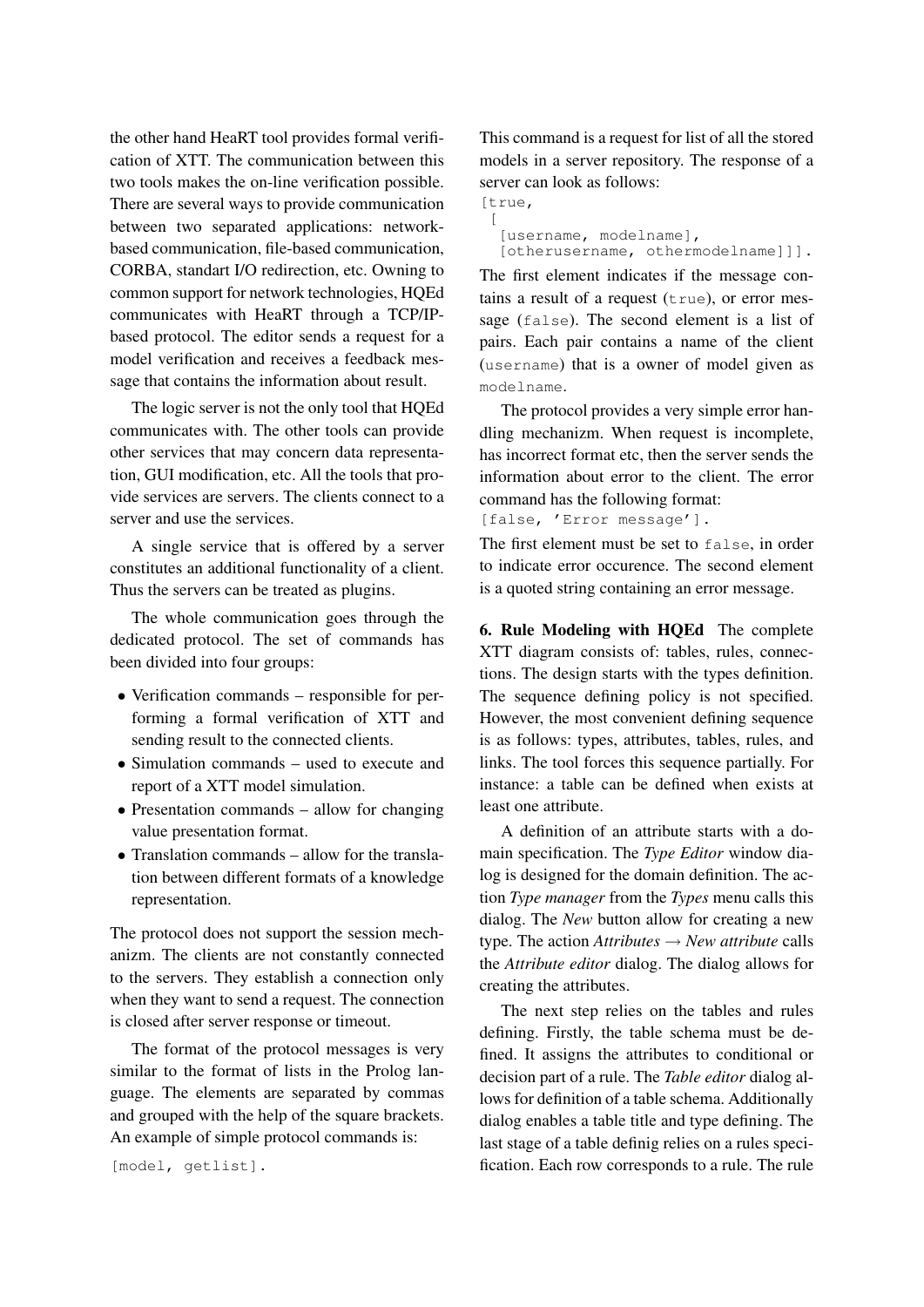the other hand HeaRT tool provides formal verification of XTT. The communication between this two tools makes the on-line verification possible. There are several ways to provide communication between two separated applications: networkbased communication, file-based communication, CORBA, standart I/O redirection, etc. Owning to common support for network technologies, HQEd communicates with HeaRT through a TCP/IPbased protocol. The editor sends a request for a model verification and receives a feedback message that contains the information about result.

The logic server is not the only tool that HQEd communicates with. The other tools can provide other services that may concern data representation, GUI modification, etc. All the tools that provide services are servers. The clients connect to a server and use the services.

A single service that is offered by a server constitutes an additional functionality of a client. Thus the servers can be treated as plugins.

The whole communication goes through the dedicated protocol. The set of commands has been divided into four groups:

- Verification commands responsible for performing a formal verification of XTT and sending result to the connected clients.
- Simulation commands used to execute and report of a XTT model simulation.
- Presentation commands allow for changing value presentation format.
- Translation commands allow for the translation between different formats of a knowledge representation.

The protocol does not support the session mechanizm. The clients are not constantly connected to the servers. They establish a connection only when they want to send a request. The connection is closed after server response or timeout.

The format of the protocol messages is very similar to the format of lists in the Prolog language. The elements are separated by commas and grouped with the help of the square brackets. An example of simple protocol commands is:

```
[model, getlist].
```
This command is a request for list of all the stored models in a server repository. The response of a server can look as follows:

[true,  $\sqrt{ }$ 

```
[username, modelname],
[otherusername, othermodelname]]].
```
The first element indicates if the message contains a result of a request  $(t_{true})$ , or error message (false). The second element is a list of pairs. Each pair contains a name of the client (username) that is a owner of model given as modelname.

The protocol provides a very simple error handling mechanizm. When request is incomplete, has incorrect format etc, then the server sends the information about error to the client. The error command has the following format:

```
[false, 'Error message'].
```
The first element must be set to false, in order to indicate error occurence. The second element is a quoted string containing an error message.

6. Rule Modeling with HQEd The complete XTT diagram consists of: tables, rules, connections. The design starts with the types definition. The sequence defining policy is not specified. However, the most convenient defining sequence is as follows: types, attributes, tables, rules, and links. The tool forces this sequence partially. For instance: a table can be defined when exists at least one attribute.

A definition of an attribute starts with a domain specification. The *Type Editor* window dialog is designed for the domain definition. The action *Type manager* from the *Types* menu calls this dialog. The *New* button allow for creating a new type. The action  $Attributes \rightarrow New attribute$  calls the *Attribute editor* dialog. The dialog allows for creating the attributes.

The next step relies on the tables and rules defining. Firstly, the table schema must be defined. It assigns the attributes to conditional or decision part of a rule. The *Table editor* dialog allows for definition of a table schema. Additionally dialog enables a table title and type defining. The last stage of a table definig relies on a rules specification. Each row corresponds to a rule. The rule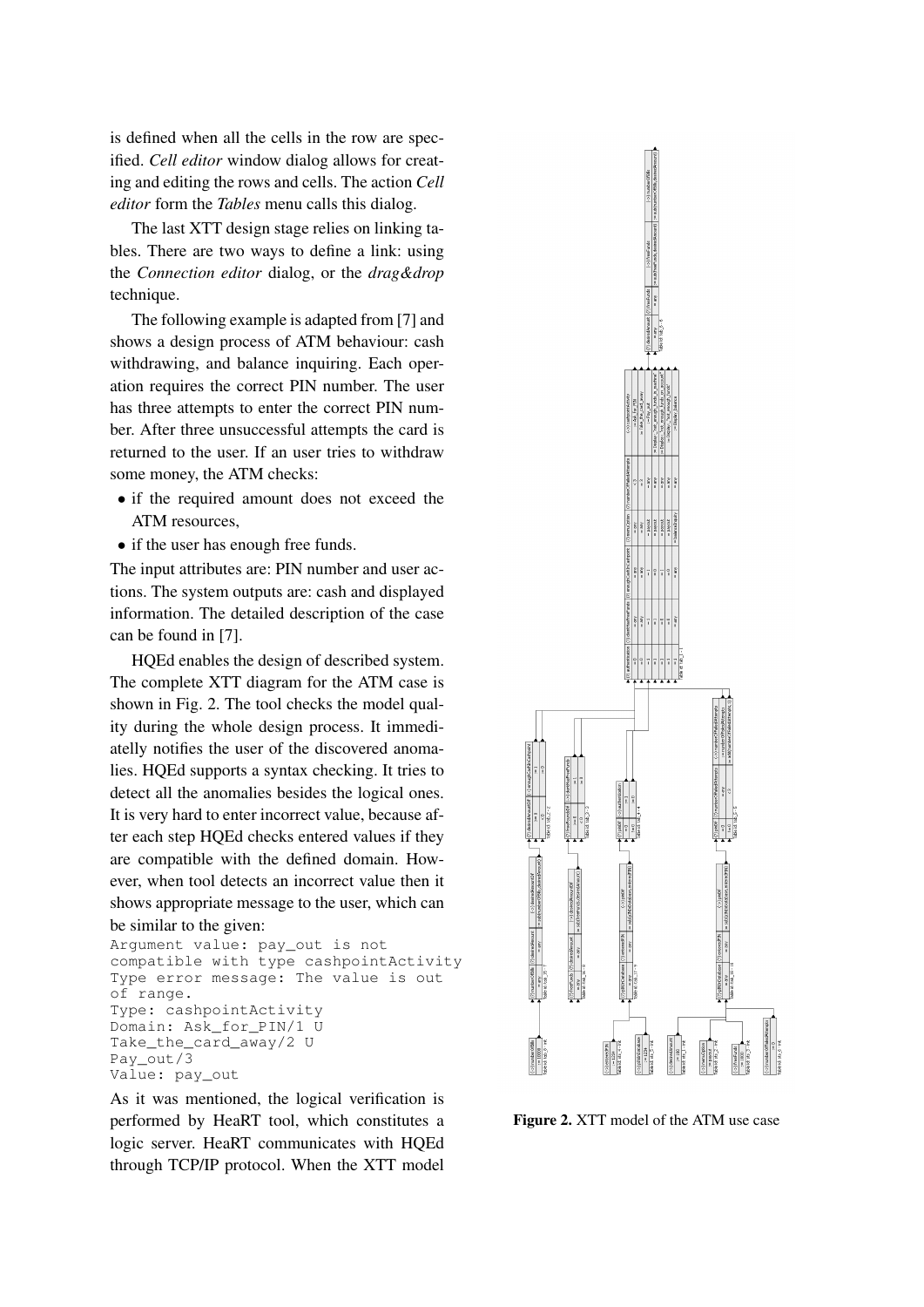is defined when all the cells in the row are specified. *Cell editor* window dialog allows for creating and editing the rows and cells. The action *Cell editor* form the *Tables* menu calls this dialog.

The last XTT design stage relies on linking tables. There are two ways to define a link: using the *Connection editor* dialog, or the *drag&drop* technique.

The following example is adapted from [7] and shows a design process of ATM behaviour: cash withdrawing, and balance inquiring. Each operation requires the correct PIN number. The user has three attempts to enter the correct PIN number. After three unsuccessful attempts the card is returned to the user. If an user tries to withdraw some money, the ATM checks:

- if the required amount does not exceed the ATM resources,
- if the user has enough free funds.

The input attributes are: PIN number and user actions. The system outputs are: cash and displayed information. The detailed description of the case can be found in [7].

HQEd enables the design of described system. The complete XTT diagram for the ATM case is shown in Fig. 2. The tool checks the model quality during the whole design process. It immediatelly notifies the user of the discovered anomalies. HQEd supports a syntax checking. It tries to detect all the anomalies besides the logical ones. It is very hard to enter incorrect value, because after each step HQEd checks entered values if they are compatible with the defined domain. However, when tool detects an incorrect value then it shows appropriate message to the user, which can be similar to the given:

```
Argument value: pay_out is not
compatible with type cashpointActivity
Type error message: The value is out
of range.
Type: cashpointActivity
Domain: Ask_for_PIN/1 U
Take_the_card_away/2 U
Pay_out/3
Value: pay_out
```
As it was mentioned, the logical verification is performed by HeaRT tool, which constitutes a logic server. HeaRT communicates with HQEd through TCP/IP protocol. When the XTT model



Figure 2. XTT model of the ATM use case